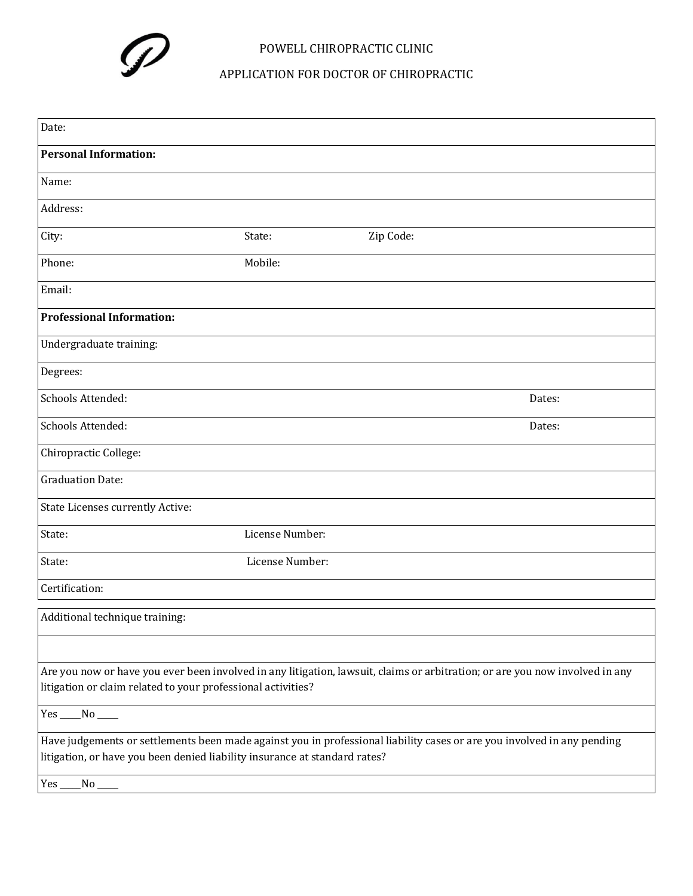

## POWELL CHIROPRACTIC CLINIC

APPLICATION FOR DOCTOR OF CHIROPRACTIC

| Date:                                                                                                                        |                 |           |        |
|------------------------------------------------------------------------------------------------------------------------------|-----------------|-----------|--------|
| <b>Personal Information:</b>                                                                                                 |                 |           |        |
|                                                                                                                              |                 |           |        |
| Name:                                                                                                                        |                 |           |        |
| Address:                                                                                                                     |                 |           |        |
| City:                                                                                                                        | State:          | Zip Code: |        |
| Phone:                                                                                                                       | Mobile:         |           |        |
| Email:                                                                                                                       |                 |           |        |
| <b>Professional Information:</b>                                                                                             |                 |           |        |
| Undergraduate training:                                                                                                      |                 |           |        |
| Degrees:                                                                                                                     |                 |           |        |
| Schools Attended:                                                                                                            |                 |           | Dates: |
| Schools Attended:                                                                                                            |                 |           | Dates: |
| Chiropractic College:                                                                                                        |                 |           |        |
| <b>Graduation Date:</b>                                                                                                      |                 |           |        |
| State Licenses currently Active:                                                                                             |                 |           |        |
| State:                                                                                                                       | License Number: |           |        |
| State:                                                                                                                       | License Number: |           |        |
| Certification:                                                                                                               |                 |           |        |
| Additional technique training:                                                                                               |                 |           |        |
|                                                                                                                              |                 |           |        |
| Are you now or have you ever been involved in any litigation, lawsuit, claims or arbitration; or are you now involved in any |                 |           |        |
| litigation or claim related to your professional activities?                                                                 |                 |           |        |
| $Yes$ ____ No _____                                                                                                          |                 |           |        |
| Have judgements or settlements been made against you in professional liability cases or are you involved in any pending      |                 |           |        |
| litigation, or have you been denied liability insurance at standard rates?                                                   |                 |           |        |
| Yes_<br>No.                                                                                                                  |                 |           |        |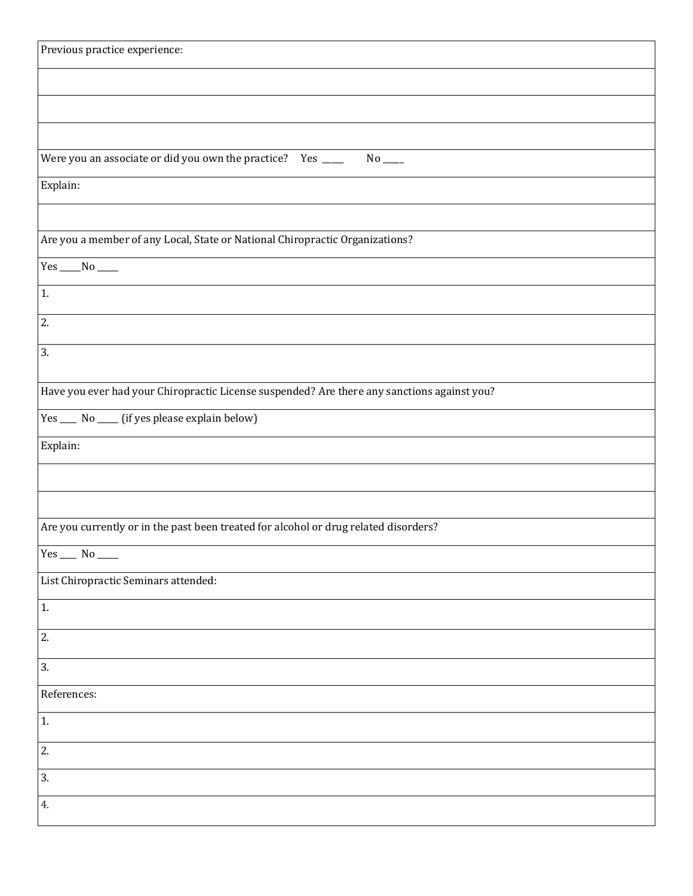| Previous practice experience:                                                               |
|---------------------------------------------------------------------------------------------|
|                                                                                             |
|                                                                                             |
|                                                                                             |
|                                                                                             |
|                                                                                             |
| Were you an associate or did you own the practice?   Yes ____<br>$No$ <sub>____</sub>       |
| Explain:                                                                                    |
|                                                                                             |
| Are you a member of any Local, State or National Chiropractic Organizations?                |
|                                                                                             |
| 1.                                                                                          |
| 2.                                                                                          |
| 3.                                                                                          |
|                                                                                             |
| Have you ever had your Chiropractic License suspended? Are there any sanctions against you? |
| Yes ____ No ____ (if yes please explain below)                                              |
| Explain:                                                                                    |
|                                                                                             |
|                                                                                             |
| Are you currently or in the past been treated for alcohol or drug related disorders?        |
| Yes $\rule{1em}{0.15mm}$ No $\rule{1.5mm}{0.15mm}$                                          |
| List Chiropractic Seminars attended:                                                        |
| 1.                                                                                          |
| 2.                                                                                          |
| 3.                                                                                          |
| References:                                                                                 |
| 1.                                                                                          |
| 2.                                                                                          |
| 3.                                                                                          |
| 4.                                                                                          |